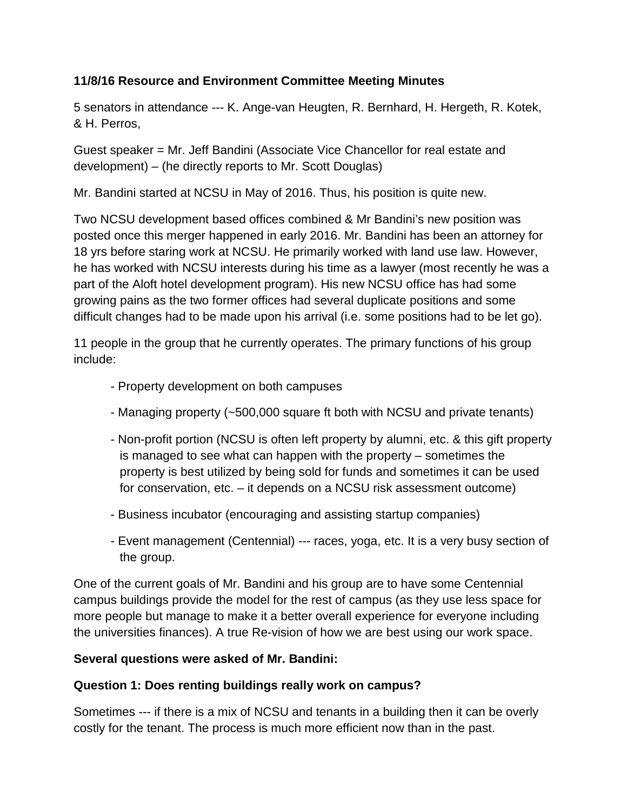### **11/8/16 Resource and Environment Committee Meeting Minutes**

5 senators in attendance --- K. Ange-van Heugten, R. Bernhard, H. Hergeth, R. Kotek, & H. Perros,

Guest speaker = Mr. Jeff Bandini (Associate Vice Chancellor for real estate and development) – (he directly reports to Mr. Scott Douglas)

Mr. Bandini started at NCSU in May of 2016. Thus, his position is quite new.

Two NCSU development based offices combined & Mr Bandini's new position was posted once this merger happened in early 2016. Mr. Bandini has been an attorney for 18 yrs before staring work at NCSU. He primarily worked with land use law. However, he has worked with NCSU interests during his time as a lawyer (most recently he was a part of the Aloft hotel development program). His new NCSU office has had some growing pains as the two former offices had several duplicate positions and some difficult changes had to be made upon his arrival (i.e. some positions had to be let go).

11 people in the group that he currently operates. The primary functions of his group include:

- Property development on both campuses
- Managing property (~500,000 square ft both with NCSU and private tenants)
- Non-profit portion (NCSU is often left property by alumni, etc. & this gift property is managed to see what can happen with the property – sometimes the property is best utilized by being sold for funds and sometimes it can be used for conservation, etc. – it depends on a NCSU risk assessment outcome)
- Business incubator (encouraging and assisting startup companies)
- Event management (Centennial) --- races, yoga, etc. It is a very busy section of the group.

One of the current goals of Mr. Bandini and his group are to have some Centennial campus buildings provide the model for the rest of campus (as they use less space for more people but manage to make it a better overall experience for everyone including the universities finances). A true Re-vision of how we are best using our work space.

#### **Several questions were asked of Mr. Bandini:**

#### **Question 1: Does renting buildings really work on campus?**

Sometimes --- if there is a mix of NCSU and tenants in a building then it can be overly costly for the tenant. The process is much more efficient now than in the past.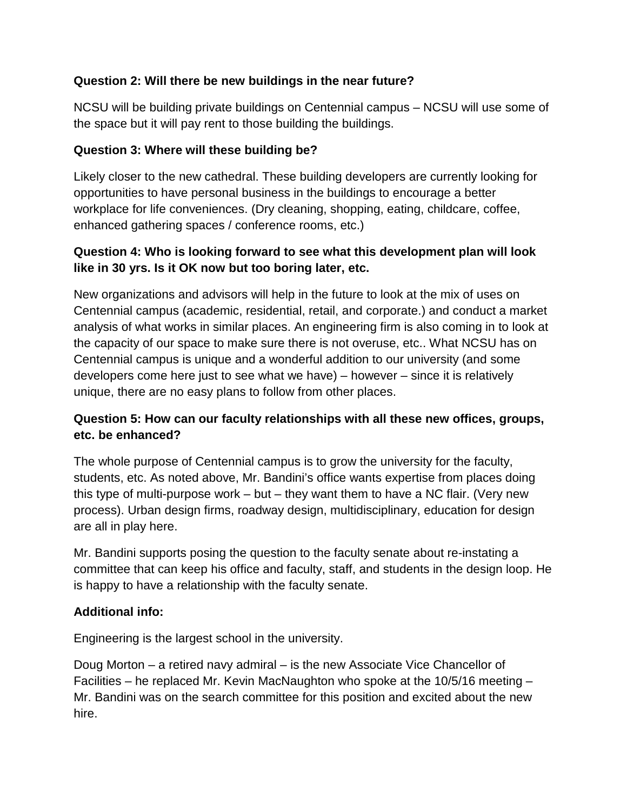# **Question 2: Will there be new buildings in the near future?**

NCSU will be building private buildings on Centennial campus – NCSU will use some of the space but it will pay rent to those building the buildings.

### **Question 3: Where will these building be?**

Likely closer to the new cathedral. These building developers are currently looking for opportunities to have personal business in the buildings to encourage a better workplace for life conveniences. (Dry cleaning, shopping, eating, childcare, coffee, enhanced gathering spaces / conference rooms, etc.)

# **Question 4: Who is looking forward to see what this development plan will look like in 30 yrs. Is it OK now but too boring later, etc.**

New organizations and advisors will help in the future to look at the mix of uses on Centennial campus (academic, residential, retail, and corporate.) and conduct a market analysis of what works in similar places. An engineering firm is also coming in to look at the capacity of our space to make sure there is not overuse, etc.. What NCSU has on Centennial campus is unique and a wonderful addition to our university (and some developers come here just to see what we have) – however – since it is relatively unique, there are no easy plans to follow from other places.

### **Question 5: How can our faculty relationships with all these new offices, groups, etc. be enhanced?**

The whole purpose of Centennial campus is to grow the university for the faculty, students, etc. As noted above, Mr. Bandini's office wants expertise from places doing this type of multi-purpose work – but – they want them to have a NC flair. (Very new process). Urban design firms, roadway design, multidisciplinary, education for design are all in play here.

Mr. Bandini supports posing the question to the faculty senate about re-instating a committee that can keep his office and faculty, staff, and students in the design loop. He is happy to have a relationship with the faculty senate.

# **Additional info:**

Engineering is the largest school in the university.

Doug Morton – a retired navy admiral – is the new Associate Vice Chancellor of Facilities – he replaced Mr. Kevin MacNaughton who spoke at the 10/5/16 meeting – Mr. Bandini was on the search committee for this position and excited about the new hire.